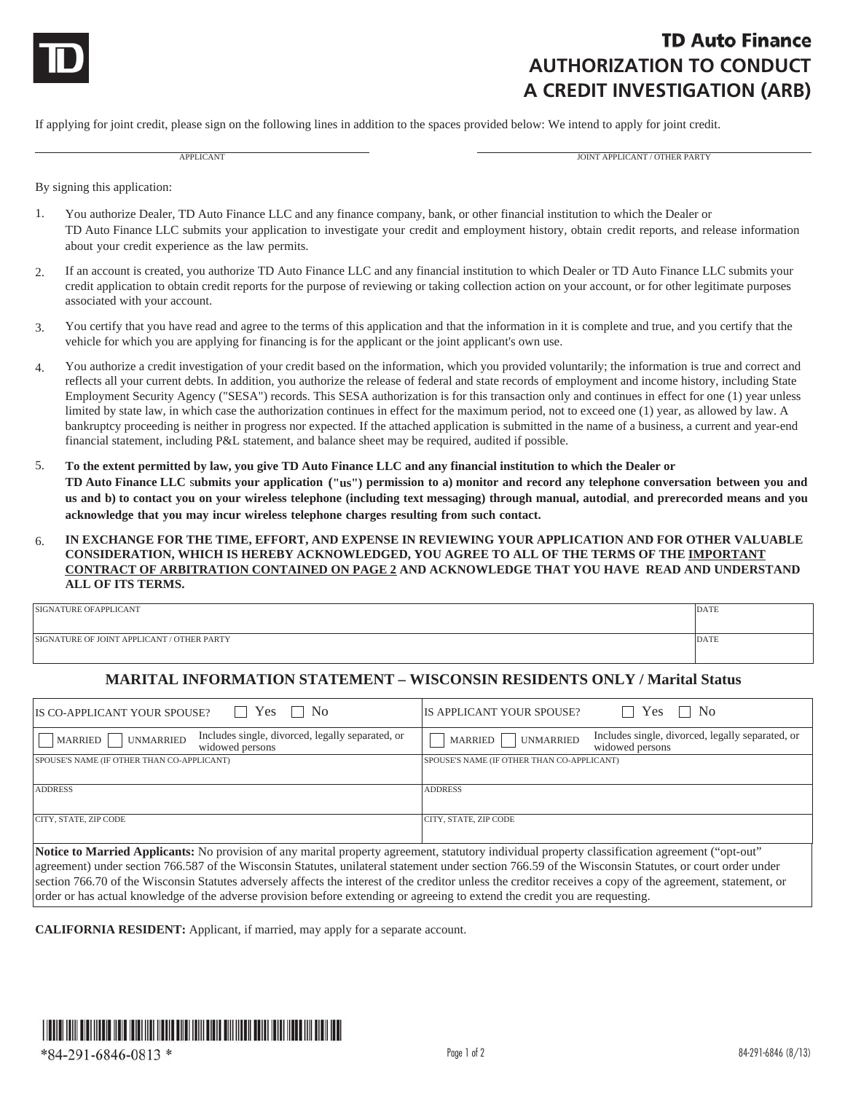

## **TD Auto Finance AUTHORIZATION TO CONDUCT A CREDIT INVESTIGATION (ARB)**

If applying for joint credit, please sign on the following lines in addition to the spaces provided below: We intend to apply for joint credit.

APPLICANT AND APPLICANT AND A PROGRESS OF THE CANTAL AND A PROGRESS OF THE PARTY OF THE PARTY AND A PROGRESS OF THE PARTY

By signing this application:

- 1. You authorize Dealer, TD Auto Finance LLC and any finance company, bank, or other financial institution to which the Dealer or TD Auto Finance LLC submits your application to investigate your credit and employment history, obtain credit reports, and release information about your credit experience as the law permits.
- 2. If an account is created, you authorize TD Auto Finance LLC and any financial institution to which Dealer or TD Auto Finance LLC submits your credit application to obtain credit reports for the purpose of reviewing or taking collection action on your account, or for other legitimate purposes associated with your account.
- 3. You certify that you have read and agree to the terms of this application and that the information in it is complete and true, and you certify that the vehicle for which you are applying for financing is for the applicant or the joint applicant's own use.
- 4. You authorize a credit investigation of your credit based on the information, which you provided voluntarily; the information is true and correct and reflects all your current debts. In addition, you authorize the release of federal and state records of employment and income history, including State Employment Security Agency ("SESA") records. This SESA authorization is for this transaction only and continues in effect for one (1) year unless limited by state law, in which case the authorization continues in effect for the maximum period, not to exceed one (1) year, as allowed by law. A bankruptcy proceeding is neither in progress nor expected. If the attached application is submitted in the name of a business, a current and year-end financial statement, including P&L statement, and balance sheet may be required, audited if possible.
- 5. **To the extent permitted by law, you give TD Auto Finance LLC and any financial institution to which the Dealer or TD Auto Finance LLC** s**ubmits your application ("us") permission to a) monitor and record any telephone conversation between you and us and b) to contact you on your wireless telephone (including text messaging) through manual, autodial**, **and prerecorded means and you acknowledge that you may incur wireless telephone charges resulting from such contact.**
- 6. **IN EXCHANGE FOR THE TIME, EFFORT, AND EXPENSE IN REVIEWING YOUR APPLICATION AND FOR OTHER VALUABLE CONSIDERATION, WHICH IS HEREBY ACKNOWLEDGED, YOU AGREE TO ALL OF THE TERMS OF THE IMPORTANT CONTRACT OF ARBITRATION CONTAINED ON PAGE 2 AND ACKNOWLEDGE THAT YOU HAVE READ AND UNDERSTAND ALL OF ITS TERMS.**

| SIGNATURE OFAPPLICANT                      | DATE |
|--------------------------------------------|------|
|                                            |      |
| SIGNATURE OF JOINT APPLICANT / OTHER PARTY | DATE |
|                                            |      |

## **MARITAL INFORMATION STATEMENT – WISCONSIN RESIDENTS ONLY / Marital Status**

| $\Box$ Yes $\Box$ No<br>IS CO-APPLICANT YOUR SPOUSE?                                                                                                  | Yes<br>$\perp$ No<br>IS APPLICANT YOUR SPOUSE?                                                     |  |
|-------------------------------------------------------------------------------------------------------------------------------------------------------|----------------------------------------------------------------------------------------------------|--|
| Includes single, divorced, legally separated, or<br><b>UNMARRIED</b><br>MARRIED<br>widowed persons                                                    | Includes single, divorced, legally separated, or<br><b>UNMARRIED</b><br>MARRIED<br>widowed persons |  |
| SPOUSE'S NAME (IF OTHER THAN CO-APPLICANT)                                                                                                            | SPOUSE'S NAME (IF OTHER THAN CO-APPLICANT)                                                         |  |
|                                                                                                                                                       |                                                                                                    |  |
| <b>ADDRESS</b>                                                                                                                                        | <b>ADDRESS</b>                                                                                     |  |
| CITY, STATE, ZIP CODE                                                                                                                                 | CITY, STATE, ZIP CODE                                                                              |  |
| Notice to Married Applicants: No provision of any marital property agreement, statutory individual property classification agreement ("opt-out"       |                                                                                                    |  |
| agreement) under section 766.587 of the Wisconsin Statutes, unilateral statement under section 766.59 of the Wisconsin Statutes, or court order under |                                                                                                    |  |

agreement) under section 766.587 of the Wisconsin Statutes, unilateral statement under section 766.59 of the Wisconsin Statutes, or court order under section 766.70 of the Wisconsin Statutes adversely affects the interest of the creditor unless the creditor receives a copy of the agreement, statement, or order or has actual knowledge of the adverse provision before extending or agreeing to extend the credit you are requesting.

**CALIFORNIA RESIDENT:** Applicant, if married, may apply for a separate account.